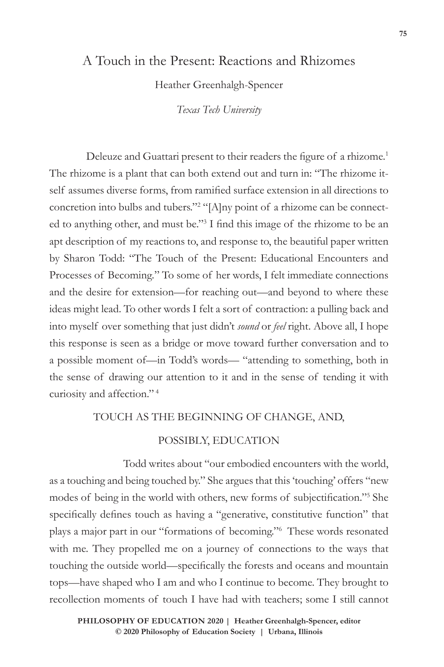# A Touch in the Present: Reactions and Rhizomes

Heather Greenhalgh-Spencer

*Texas Tech University*

Deleuze and Guattari present to their readers the figure of a rhizome.<sup>1</sup> The rhizome is a plant that can both extend out and turn in: "The rhizome itself assumes diverse forms, from ramified surface extension in all directions to concretion into bulbs and tubers."<sup>2</sup> "[A]ny point of a rhizome can be connected to anything other, and must be."<sup>3</sup> I find this image of the rhizome to be an apt description of my reactions to, and response to, the beautiful paper written by Sharon Todd: "The Touch of the Present: Educational Encounters and Processes of Becoming*.*" To some of her words, I felt immediate connections and the desire for extension—for reaching out—and beyond to where these ideas might lead. To other words I felt a sort of contraction: a pulling back and into myself over something that just didn't *sound* or *feel* right. Above all, I hope this response is seen as a bridge or move toward further conversation and to a possible moment of—in Todd's words— "attending to something, both in the sense of drawing our attention to it and in the sense of tending it with curiosity and affection." <sup>4</sup>

# TOUCH AS THE BEGINNING OF CHANGE, AND,

### POSSIBLY, EDUCATION

Todd writes about "our embodied encounters with the world, as a touching and being touched by." She argues that this 'touching' offers "new modes of being in the world with others, new forms of subjectification."<sup>5</sup> She specifically defines touch as having a "generative, constitutive function" that plays a major part in our "formations of becoming."<sup>6</sup> These words resonated with me. They propelled me on a journey of connections to the ways that touching the outside world—specifically the forests and oceans and mountain tops—have shaped who I am and who I continue to become. They brought to recollection moments of touch I have had with teachers; some I still cannot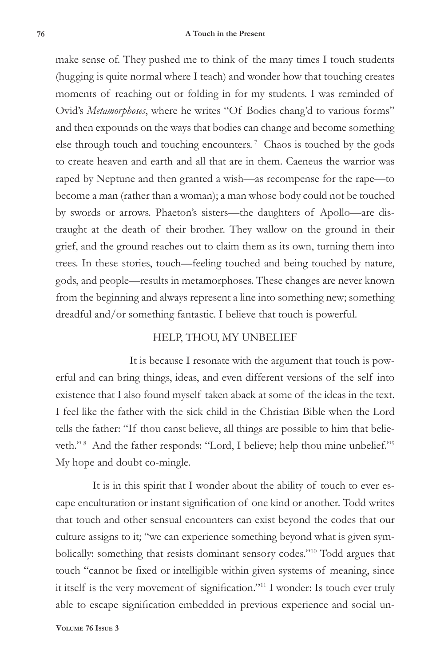#### **76 A Touch in the Present**

make sense of. They pushed me to think of the many times I touch students (hugging is quite normal where I teach) and wonder how that touching creates moments of reaching out or folding in for my students. I was reminded of Ovid's *Metamorphoses*, where he writes "Of Bodies chang'd to various forms" and then expounds on the ways that bodies can change and become something else through touch and touching encounters.<sup>7</sup> Chaos is touched by the gods to create heaven and earth and all that are in them. Caeneus the warrior was raped by Neptune and then granted a wish—as recompense for the rape—to become a man (rather than a woman); a man whose body could not be touched by swords or arrows. Phaeton's sisters—the daughters of Apollo—are distraught at the death of their brother. They wallow on the ground in their grief, and the ground reaches out to claim them as its own, turning them into trees. In these stories, touch—feeling touched and being touched by nature, gods, and people—results in metamorphoses. These changes are never known from the beginning and always represent a line into something new; something dreadful and/or something fantastic. I believe that touch is powerful.

## HELP, THOU, MY UNBELIEF

It is because I resonate with the argument that touch is powerful and can bring things, ideas, and even different versions of the self into existence that I also found myself taken aback at some of the ideas in the text. I feel like the father with the sick child in the Christian Bible when the Lord tells the father: "If thou canst believe, all things are possible to him that believeth."<sup>8</sup> And the father responds: "Lord, I believe; help thou mine unbelief."<sup>9</sup> My hope and doubt co-mingle.

It is in this spirit that I wonder about the ability of touch to ever escape enculturation or instant signification of one kind or another. Todd writes that touch and other sensual encounters can exist beyond the codes that our culture assigns to it; "we can experience something beyond what is given symbolically: something that resists dominant sensory codes."10 Todd argues that touch "cannot be fixed or intelligible within given systems of meaning, since it itself is the very movement of signification."<sup>11</sup> I wonder: Is touch ever truly able to escape signification embedded in previous experience and social un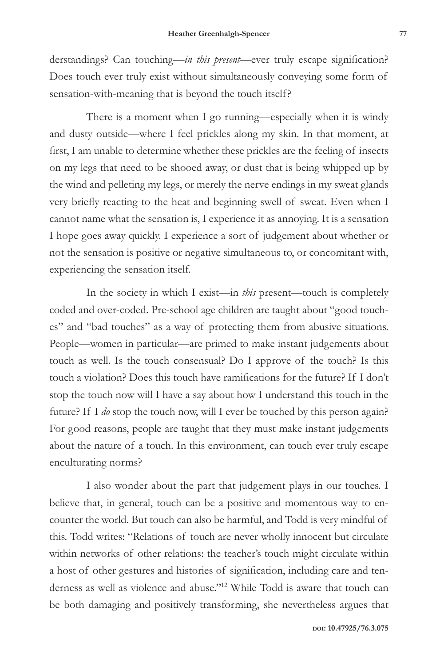derstandings? Can touching—*in this present*—ever truly escape signification? Does touch ever truly exist without simultaneously conveying some form of sensation-with-meaning that is beyond the touch itself?

There is a moment when I go running—especially when it is windy and dusty outside—where I feel prickles along my skin. In that moment, at first, I am unable to determine whether these prickles are the feeling of insects on my legs that need to be shooed away, or dust that is being whipped up by the wind and pelleting my legs, or merely the nerve endings in my sweat glands very briefly reacting to the heat and beginning swell of sweat. Even when I cannot name what the sensation is, I experience it as annoying. It is a sensation I hope goes away quickly. I experience a sort of judgement about whether or not the sensation is positive or negative simultaneous to, or concomitant with, experiencing the sensation itself.

In the society in which I exist—in *this* present—touch is completely coded and over-coded. Pre-school age children are taught about "good touches" and "bad touches" as a way of protecting them from abusive situations. People—women in particular—are primed to make instant judgements about touch as well. Is the touch consensual? Do I approve of the touch? Is this touch a violation? Does this touch have ramifications for the future? If I don't stop the touch now will I have a say about how I understand this touch in the future? If I *do* stop the touch now, will I ever be touched by this person again? For good reasons, people are taught that they must make instant judgements about the nature of a touch. In this environment, can touch ever truly escape enculturating norms?

I also wonder about the part that judgement plays in our touches. I believe that, in general, touch can be a positive and momentous way to encounter the world. But touch can also be harmful, and Todd is very mindful of this. Todd writes: "Relations of touch are never wholly innocent but circulate within networks of other relations: the teacher's touch might circulate within a host of other gestures and histories of signification, including care and tenderness as well as violence and abuse."<sup>12</sup> While Todd is aware that touch can be both damaging and positively transforming, she nevertheless argues that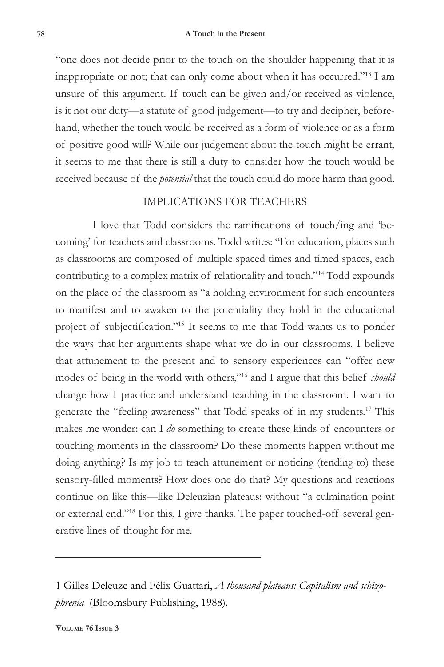#### **78 A Touch in the Present**

"one does not decide prior to the touch on the shoulder happening that it is inappropriate or not; that can only come about when it has occurred."13 I am unsure of this argument. If touch can be given and/or received as violence, is it not our duty—a statute of good judgement—to try and decipher, beforehand, whether the touch would be received as a form of violence or as a form of positive good will? While our judgement about the touch might be errant, it seems to me that there is still a duty to consider how the touch would be received because of the *potential* that the touch could do more harm than good.

# IMPLICATIONS FOR TEACHERS

I love that Todd considers the ramifications of touch/ing and 'becoming' for teachers and classrooms. Todd writes: "For education, places such as classrooms are composed of multiple spaced times and timed spaces, each contributing to a complex matrix of relationality and touch."14 Todd expounds on the place of the classroom as "a holding environment for such encounters to manifest and to awaken to the potentiality they hold in the educational project of subjectification."<sup>15</sup> It seems to me that Todd wants us to ponder the ways that her arguments shape what we do in our classrooms. I believe that attunement to the present and to sensory experiences can "offer new modes of being in the world with others,"<sup>16</sup> and I argue that this belief *should* change how I practice and understand teaching in the classroom. I want to generate the "feeling awareness" that Todd speaks of in my students.17 This makes me wonder: can I *do* something to create these kinds of encounters or touching moments in the classroom? Do these moments happen without me doing anything? Is my job to teach attunement or noticing (tending to) these sensory-filled moments? How does one do that? My questions and reactions continue on like this—like Deleuzian plateaus: without "a culmination point or external end."18 For this, I give thanks. The paper touched-off several generative lines of thought for me.

<sup>1</sup> Gilles Deleuze and Félix Guattari, *A thousand plateaus: Capitalism and schizophrenia* (Bloomsbury Publishing, 1988).